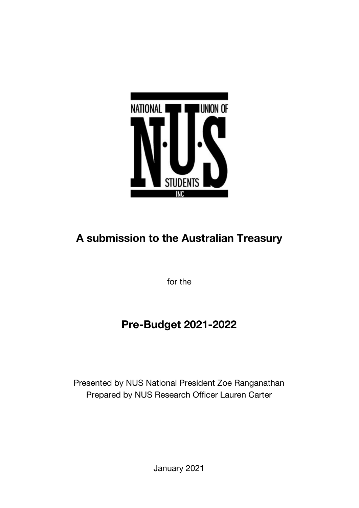

# **A submission to the Australian Treasury**

for the

# **Pre-Budget 2021-2022**

Presented by NUS National President Zoe Ranganathan Prepared by NUS Research Officer Lauren Carter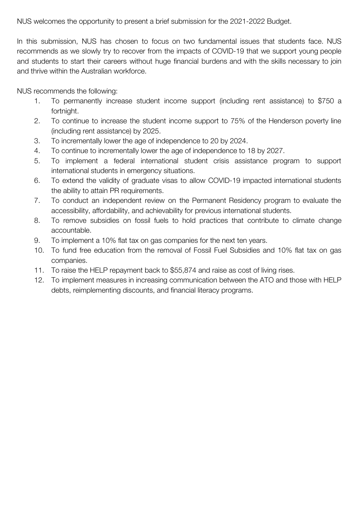NUS welcomes the opportunity to present a brief submission for the 2021-2022 Budget.

In this submission, NUS has chosen to focus on two fundamental issues that students face. NUS recommends as we slowly try to recover from the impacts of COVID-19 that we support young people and students to start their careers without huge financial burdens and with the skills necessary to join and thrive within the Australian workforce.

NUS recommends the following:

- 1. To permanently increase student income support (including rent assistance) to \$750 a fortnight.
- 2. To continue to increase the student income support to 75% of the Henderson poverty line (including rent assistance) by 2025.
- 3. To incrementally lower the age of independence to 20 by 2024.
- 4. To continue to incrementally lower the age of independence to 18 by 2027.
- 5. To implement a federal international student crisis assistance program to support international students in emergency situations.
- 6. To extend the validity of graduate visas to allow COVID-19 impacted international students the ability to attain PR requirements.
- 7. To conduct an independent review on the Permanent Residency program to evaluate the accessibility, affordability, and achievability for previous international students.
- 8. To remove subsidies on fossil fuels to hold practices that contribute to climate change accountable.
- 9. To implement a 10% flat tax on gas companies for the next ten years.
- 10. To fund free education from the removal of Fossil Fuel Subsidies and 10% flat tax on gas companies.
- 11. To raise the HELP repayment back to \$55,874 and raise as cost of living rises.
- 12. To implement measures in increasing communication between the ATO and those with HELP debts, reimplementing discounts, and financial literacy programs.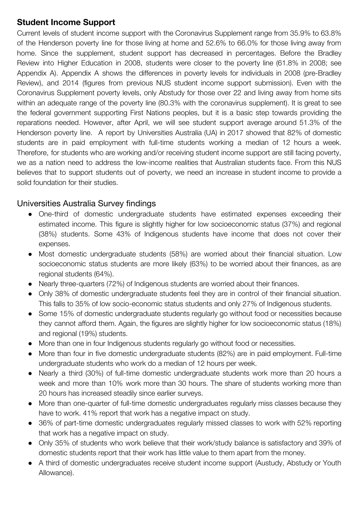## **Student Income Support**

Current levels of student income support with the Coronavirus Supplement range from 35.9% to 63.8% of the Henderson poverty line for those living at home and 52.6% to 66.0% for those living away from home. Since the supplement, student support has decreased in percentages. Before the Bradley Review into Higher Education in 2008, students were closer to the poverty line (61.8% in 2008; see Appendix A). Appendix A shows the differences in poverty levels for individuals in 2008 (pre-Bradley Review), and 2014 (figures from previous NUS student income support submission). Even with the Coronavirus Supplement poverty levels, only Abstudy for those over 22 and living away from home sits within an adequate range of the poverty line (80.3% with the coronavirus supplement). It is great to see the federal government supporting First Nations peoples, but it is a basic step towards providing the reparations needed. However, after April, we will see student support average around 51.3% of the Henderson poverty line. A report by Universities Australia (UA) in 2017 showed that 82% of domestic students are in paid employment with full-time students working a median of 12 hours a week. Therefore, for students who are working and/or receiving student income support are still facing poverty, we as a nation need to address the low-income realities that Australian students face. From this NUS believes that to support students out of poverty, we need an increase in student income to provide a solid foundation for their studies.

## Universities Australia Survey findings

- One-third of domestic undergraduate students have estimated expenses exceeding their estimated income. This figure is slightly higher for low socioeconomic status (37%) and regional (38%) students. Some 43% of Indigenous students have income that does not cover their expenses.
- Most domestic undergraduate students (58%) are worried about their financial situation. Low socioeconomic status students are more likely (63%) to be worried about their finances, as are regional students (64%).
- Nearly three-quarters (72%) of Indigenous students are worried about their finances.
- Only 38% of domestic undergraduate students feel they are in control of their financial situation. This falls to 35% of low socio-economic status students and only 27% of Indigenous students.
- Some 15% of domestic undergraduate students regularly go without food or necessities because they cannot afford them. Again, the figures are slightly higher for low socioeconomic status (18%) and regional (19%) students.
- More than one in four Indigenous students regularly go without food or necessities.
- More than four in five domestic undergraduate students (82%) are in paid employment. Full-time undergraduate students who work do a median of 12 hours per week.
- Nearly a third (30%) of full-time domestic undergraduate students work more than 20 hours a week and more than 10% work more than 30 hours. The share of students working more than 20 hours has increased steadily since earlier surveys.
- More than one-quarter of full-time domestic undergraduates regularly miss classes because they have to work. 41% report that work has a negative impact on study.
- 36% of part-time domestic undergraduates regularly missed classes to work with 52% reporting that work has a negative impact on study.
- Only 35% of students who work believe that their work/study balance is satisfactory and 39% of domestic students report that their work has little value to them apart from the money.
- A third of domestic undergraduates receive student income support (Austudy, Abstudy or Youth Allowance).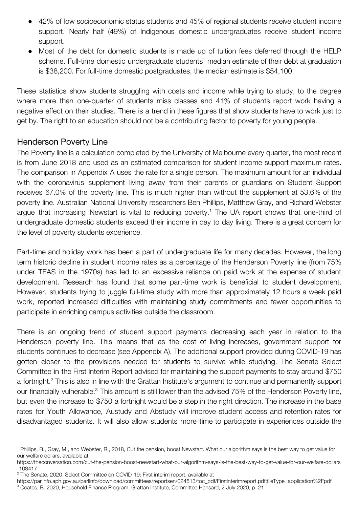- 42% of low socioeconomic status students and 45% of regional students receive student income support. Nearly half (49%) of Indigenous domestic undergraduates receive student income support.
- Most of the debt for domestic students is made up of tuition fees deferred through the HELP scheme. Full-time domestic undergraduate students' median estimate of their debt at graduation is \$38,200. For full-time domestic postgraduates, the median estimate is \$54,100.

These statistics show students struggling with costs and income while trying to study, to the degree where more than one-quarter of students miss classes and 41% of students report work having a negative effect on their studies. There is a trend in these figures that show students have to work just to get by. The right to an education should not be a contributing factor to poverty for young people.

#### Henderson Poverty Line

The Poverty line is a calculation completed by the University of Melbourne every quarter, the most recent is from June 2018 and used as an estimated comparison for student income support maximum rates. The comparison in Appendix A uses the rate for a single person. The maximum amount for an individual with the coronavirus supplement living away from their parents or guardians on Student Support receives 67.0% of the poverty line. This is much higher than without the supplement at 53.6% of the poverty line. Australian National University researchers Ben Phillips, Matthew Gray, and Richard Webster argue that increasing Newstart is vital to reducing poverty.<sup>1</sup> The UA report shows that one-third of undergraduate domestic students exceed their income in day to day living. There is a great concern for the level of poverty students experience.

Part-time and holiday work has been a part of undergraduate life for many decades. However, the long term historic decline in student income rates as a percentage of the Henderson Poverty line (from 75% under TEAS in the 1970s) has led to an excessive reliance on paid work at the expense of student development. Research has found that some part-time work is beneficial to student development. However, students trying to juggle full-time study with more than approximately 12 hours a week paid work, reported increased difficulties with maintaining study commitments and fewer opportunities to participate in enriching campus activities outside the classroom.

There is an ongoing trend of student support payments decreasing each year in relation to the Henderson poverty line. This means that as the cost of living increases, government support for students continues to decrease (see Appendix A). The additional support provided during COVID-19 has gotten closer to the provisions needed for students to survive while studying. The Senate Select Committee in the First Interim Report advised for maintaining the support payments to stay around \$750 a fortnight.<sup>2</sup> This is also in line with the Grattan Institute's argument to continue and permanently support our financially vulnerable.<sup>3</sup> This amount is still lower than the advised 75% of the Henderson Poverty line, but even the increase to \$750 a fortnight would be a step in the right direction. The increase in the base rates for Youth Allowance, Austudy and Abstudy will improve student access and retention rates for disadvantaged students. It will also allow students more time to participate in experiences outside the

<sup>1</sup> Phillips, B., Gray, M., and Webster, R., 2018, Cut the pension, boost Newstart. What our algorithm says is the best way to get value for our welfare dollars, available at

https://theconversation.com/cut-the-pension-boost-newstart-what-our-algorithm-says-is-the-best-way-to-get-value-for-our-welfare-dollars -108417

<sup>&</sup>lt;sup>2</sup> The Senate, 2020, Select Committee on COVID-19: First interim report, available at

https://parlinfo.aph.gov.au/parlInfo/download/committees/reportsen/024513/toc\_pdf/Firstinterimreport.pdf;fileType=application%2Fpdf

 $^3$  Coates, B. 2020, Household Finance Program, Grattan Institute, Committee Hansard, 2 July 2020, p. 21.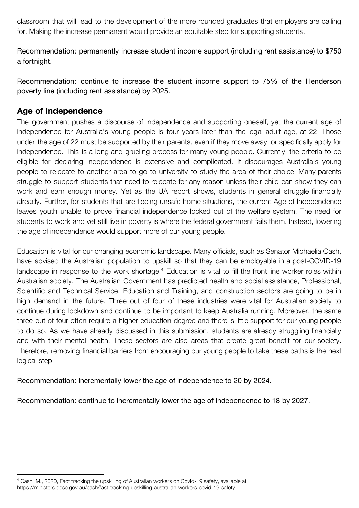classroom that will lead to the development of the more rounded graduates that employers are calling for. Making the increase permanent would provide an equitable step for supporting students.

Recommendation: permanently increase student income support (including rent assistance) to \$750 a fortnight.

Recommendation: continue to increase the student income support to 75% of the Henderson poverty line (including rent assistance) by 2025.

## **Age of Independence**

The government pushes a discourse of independence and supporting oneself, yet the current age of independence for Australia's young people is four years later than the legal adult age, at 22. Those under the age of 22 must be supported by their parents, even if they move away, or specifically apply for independence. This is a long and grueling process for many young people. Currently, the criteria to be eligible for declaring independence is extensive and complicated. It discourages Australia's young people to relocate to another area to go to university to study the area of their choice. Many parents struggle to support students that need to relocate for any reason unless their child can show they can work and earn enough money. Yet as the UA report shows, students in general struggle financially already. Further, for students that are fleeing unsafe home situations, the current Age of Independence leaves youth unable to prove financial independence locked out of the welfare system. The need for students to work and yet still live in poverty is where the federal government fails them. Instead, lowering the age of independence would support more of our young people.

Education is vital for our changing economic landscape. Many officials, such as Senator Michaelia Cash, have advised the Australian population to upskill so that they can be employable in a post-COVID-19 landscape in response to the work shortage.<sup>4</sup> Education is vital to fill the front line worker roles within Australian society. The Australian Government has predicted health and social assistance, Professional, Scientific and Technical Service, Education and Training, and construction sectors are going to be in high demand in the future. Three out of four of these industries were vital for Australian society to continue during lockdown and continue to be important to keep Australia running. Moreover, the same three out of four often require a higher education degree and there is little support for our young people to do so. As we have already discussed in this submission, students are already struggling financially and with their mental health. These sectors are also areas that create great benefit for our society. Therefore, removing financial barriers from encouraging our young people to take these paths is the next logical step.

Recommendation: incrementally lower the age of independence to 20 by 2024.

Recommendation: continue to incrementally lower the age of independence to 18 by 2027.

<sup>4</sup> Cash, M., 2020, Fact tracking the upskilling of Australian workers on Covid-19 safety, available at https://ministers.dese.gov.au/cash/fast-tracking-upskilling-australian-workers-covid-19-safety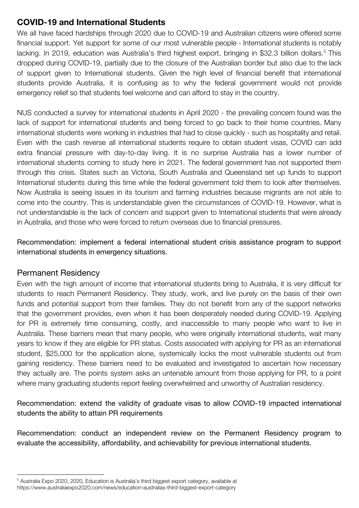## **COVID-19 and International Students**

We all have faced hardships through 2020 due to COVID-19 and Australian citizens were offered some financial support. Yet support for some of our most vulnerable people - International students is notably lacking. In 2019, education was Australia's third highest export, bringing in \$32.3 billion dollars.<sup>5</sup> This dropped during COVID-19, partially due to the closure of the Australian border but also due to the lack of support given to International students. Given the high level of financial benefit that international students provide Australia, it is confusing as to why the federal government would not provide emergency relief so that students feel welcome and can afford to stay in the country.

NUS conducted a survey for international students in April 2020 - the prevailing concern found was the lack of support for international students and being forced to go back to their home countries. Many international students were working in industries that had to close quickly - such as hospitality and retail. Even with the cash reverse all international students require to obtain student visas, COVID can add extra financial pressure with day-to-day living. It is no surprise Australia has a lower number of international students coming to study here in 2021. The federal government has not supported them through this crisis. States such as Victoria, South Australia and Queensland set up funds to support International students during this time while the federal government told them to look after themselves. Now Australia is seeing issues in its tourism and farming industries because migrants are not able to come into the country. This is understandable given the circumstances of COVID-19. However, what is not understandable is the lack of concern and support given to International students that were already in Australia, and those who were forced to return overseas due to financial pressures.

Recommendation: implement a federal international student crisis assistance program to support international students in emergency situations.

#### Permanent Residency

Even with the high amount of income that international students bring to Australia, it is very difficult for students to reach Permanent Residency. They study, work, and live purely on the basis of their own funds and potential support from their families. They do not benefit from any of the support networks that the government provides, even when it has been desperately needed during COVID-19. Applying for PR is extremely time consuming, costly, and inaccessible to many people who want to live in Australia. These barriers mean that many people, who were originally international students, wait many years to know if they are eligible for PR status. Costs associated with applying for PR as an international student, \$25,000 for the application alone, systemically locks the most vulnerable students out from gaining residency. These barriers need to be evaluated and investigated to ascertain how necessary they actually are. The points system asks an untenable amount from those applying for PR, to a point where many graduating students report feeling overwhelmed and unworthy of Australian residency.

Recommendation: extend the validity of graduate visas to allow COVID-19 impacted international students the ability to attain PR requirements

Recommendation: conduct an independent review on the Permanent Residency program to evaluate the accessibility, affordability, and achievability for previous international students.

<sup>&</sup>lt;sup>5</sup> Australia Expo 2020, 2020, Education is Australia's third biggest export category, available at

https://www.australiaexpo2020.com/news/education-australias-third-biggest-export-category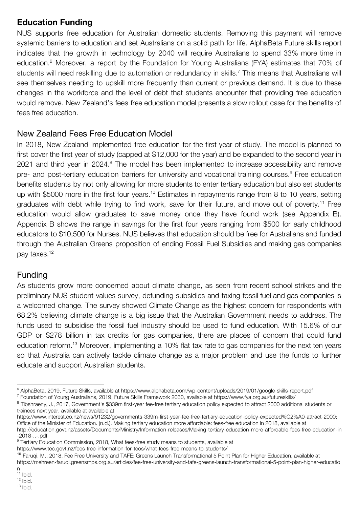## **Education Funding**

NUS supports free education for Australian domestic students. Removing this payment will remove systemic barriers to education and set Australians on a solid path for life. AlphaBeta Future skills report indicates that the growth in technology by 2040 will require Australians to spend 33% more time in education.<sup>6</sup> Moreover, a report by the Foundation for Young Australians (FYA) estimates that 70% of students will need reskilling due to automation or redundancy in skills.<sup>7</sup> This means that Australians will see themselves needing to upskill more frequently than current or previous demand. It is due to these changes in the workforce and the level of debt that students encounter that providing free education would remove. New Zealand's fees free education model presents a slow rollout case for the benefits of fees free education.

## New Zealand Fees Free Education Model

In 2018. New Zealand implemented free education for the first year of study. The model is planned to first cover the first year of study (capped at \$12,000 for the year) and be expanded to the second year in 2021 and third year in 2024.<sup>8</sup> The model has been implemented to increase accessibility and remove pre- and post-tertiary education barriers for university and vocational training courses.<sup>9</sup> Free education benefits students by not only allowing for more students to enter tertiary education but also set students up with \$5000 more in the first four years.<sup>10</sup> Estimates in repayments range from 8 to 10 years, setting graduates with debt while trying to find work, save for their future, and move out of poverty.<sup>11</sup> Free education would allow graduates to save money once they have found work (see Appendix B). Appendix B shows the range in savings for the first four years ranging from \$500 for early childhood educators to \$10,500 for Nurses. NUS believes that education should be free for Australians and funded through the Australian Greens proposition of ending Fossil Fuel Subsidies and making gas companies pay taxes.<sup>12</sup>

### Funding

As students grow more concerned about climate change, as seen from recent school strikes and the preliminary NUS student values survey, defunding subsidies and taxing fossil fuel and gas companies is a welcomed change. The survey showed Climate Change as the highest concern for respondents with 68.2% believing climate change is a big issue that the Australian Government needs to address. The funds used to subsidise the fossil fuel industry should be used to fund education. With 15.6% of our GDP or \$278 billion in tax credits for gas companies, there are places of concern that could fund education reform.<sup>13</sup> Moreover, implementing a 10% flat tax rate to gas companies for the next ten years so that Australia can actively tackle climate change as a major problem and use the funds to further educate and support Australian students.

<sup>&</sup>lt;sup>6</sup> AlphaBeta, 2019, Future Skills, available at https://www.alphabeta.com/wp-content/uploads/2019/01/google-skills-report.pdf

<sup>7</sup> Foundation of Young Australians, 2019, Future Skills Framework 2030, available at https://www.fya.org.au/futureskills/

<sup>8</sup> Tibshraeny, J., 2017, Government's \$339m first-year fee-free tertiary education policy expected to attract 2000 additional students or trainees next year, available at available at

https://www.interest.co.nz/news/91232/governments-339m-first-year-fee-free-tertiary-education-policy-expected%C2%A0-attract-2000; Office of the Minister of Education. (n.d.). Making tertiary education more affordable: fees-free education in 2018, available at http://education.govt.nz/assets/Documents/Ministry/Information-releases/Making-tertiary-education-more-affordable-fees-free-education-in -2018-..-.pdf

<sup>&</sup>lt;sup>9</sup> Tertiary Education Commission, 2018, What fees-free study means to students, available at

https://www.tec.govt.nz/fees-free-information-for-teos/what-fees-free-means-to-students/

<sup>10</sup> Faruqi, M., 2018, Fee Free University and TAFE: Greens Launch Transformational 5 Point Plan for Higher Education, available at https://mehreen-faruqi.greensmps.org.au/articles/fee-free-university-and-tafe-greens-launch-transformational-5-point-plan-higher-educatio

n

<sup>&</sup>lt;sup>11</sup> Ibid.  $12$  lbid.

<sup>13</sup> Ibid.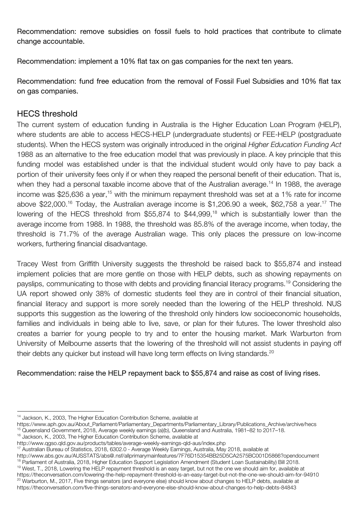Recommendation: remove subsidies on fossil fuels to hold practices that contribute to climate change accountable.

Recommendation: implement a 10% flat tax on gas companies for the next ten years.

Recommendation: fund free education from the removal of Fossil Fuel Subsidies and 10% flat tax on gas companies.

## HECS threshold

The current system of education funding in Australia is the Higher Education Loan Program (HELP), where students are able to access HECS-HELP (undergraduate students) or FEE-HELP (postgraduate students). When the HECS system was originally introduced in the original *Higher Education Funding Act* 1988 as an alternative to the free education model that was previously in place. A key principle that this funding model was established under is that the individual student would only have to pay back a portion of their university fees only if or when they reaped the personal benefit of their education. That is, when they had a personal taxable income above that of the Australian average.<sup>14</sup> In 1988, the average income was \$25,636 a year,<sup>15</sup> with the minimum repayment threshold was set at a 1% rate for income above \$22,000.<sup>16</sup> Today, the Australian average income is \$1,206.90 a week, \$62,758 a year.<sup>17</sup> The lowering of the HECS threshold from [\\$55,874](https://www.ato.gov.au/Rates/HELP,-TSL-and-SFSS-repayment-thresholds-and-rates/) to \$44,999,<sup>18</sup> which is substantially lower than the average income from 1988. In 1988, the threshold was 85.8% of the average income, when today, the threshold is 71.7% of the average Australian wage. This only places the pressure on low-income workers, furthering financial disadvantage.

Tracey West from Griffith University suggests the threshold be raised back to \$55,874 and instead implement policies that are more gentle on those with HELP debts, such as showing repayments on payslips, communicating to those with debts and providing financial literacy programs.<sup>19</sup> Considering the UA report showed only 38% of domestic students feel they are in control of their financial situation, financial literacy and support is more sorely needed than the lowering of the HELP threshold. NUS supports this suggestion as the lowering of the threshold only hinders low socioeconomic households, families and individuals in being able to live, save, or plan for their futures. The lower threshold also creates a barrier for young people to try and to enter the housing market. Mark Warburton from University of Melbourne asserts that the lowering of the threshold will not assist students in paying off their debts any quicker but instead will have long term effects on living standards.<sup>20</sup>

Recommendation: raise the HELP repayment back to \$55,874 and raise as cost of living rises.

<sup>&</sup>lt;sup>14</sup> Jackson, K., 2003, The Higher Education Contribution Scheme, available at

https://www.aph.gov.au/About\_Parliament/Parliamentary\_Departments/Parliamentary\_Library/Publications\_Archive/archive/hecs <sup>15</sup> Queensland Government, 2018, Average weekly earnings (a)(b), Queensland and Australia, 1981–82 to 2017–18.

<sup>&</sup>lt;sup>16</sup> Jackson, K., 2003, The Higher Education Contribution Scheme, available at

http://www.qgso.qld.gov.au/products/tables/average-weekly-earnings-qld-aus/index.php

<sup>&</sup>lt;sup>17</sup> Australian Bureau of Statistics, 2018, 6302.0 - Average Weekly Earnings, Australia, May 2018, available at

http://www.abs.gov.au/AUSSTATS/abs@.nsf/allprimarymainfeatures/7F76D15354BB25D5CA2575BC001D5866?opendocument <sup>18</sup> Parliament of Australia, 2018, Higher Education Support Legislation Amendment (Student Loan Sustainability) Bill 2018.

<sup>&</sup>lt;sup>19</sup> West, T., 2018, Lowering the HELP repayment threshold is an easy target, but not the one we should aim for, available at https://theconversation.com/lowering-the-help-repayment-threshold-is-an-easy-target-but-not-the-one-we-should-aim-for-94910  $^{20}$  Warburton, M., 2017, Five things senators (and everyone else) should know about changes to HELP debts, available at https://theconversation.com/five-things-senators-and-everyone-else-should-know-about-changes-to-help-debts-84843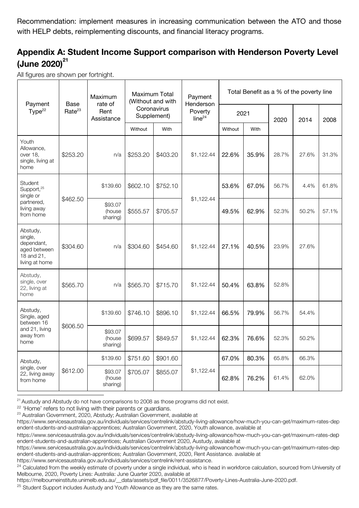Recommendation: implement measures in increasing communication between the ATO and those with HELP debts, reimplementing discounts, and financial literacy programs.

## **Appendix A: Student Income Support comparison with Henderson Poverty Level (June 2020) 21**

All figures are shown per fortnight.

| Payment<br>Type <sup>22</sup>                                                            | Base<br>Rate <sup>23</sup> | Maximum<br>rate of<br>Rent<br>Assistance | Maximum Total<br>(Without and with<br>Coronavirus<br>Supplement) |          | Payment<br>Henderson<br>Poverty<br>line <sup>24</sup> | Total Benefit as a % of the poverty line |       |       |       |       |
|------------------------------------------------------------------------------------------|----------------------------|------------------------------------------|------------------------------------------------------------------|----------|-------------------------------------------------------|------------------------------------------|-------|-------|-------|-------|
|                                                                                          |                            |                                          |                                                                  |          |                                                       | 2021                                     |       | 2020  | 2014  | 2008  |
|                                                                                          |                            |                                          | Without                                                          | With     |                                                       | Without                                  | With  |       |       |       |
| Youth<br>Allowance,<br>over 18,<br>single, living at<br>home                             | \$253.20                   | n/a                                      | \$253.20                                                         | \$403.20 | \$1,122.44                                            | 22.6%                                    | 35.9% | 28.7% | 27.6% | 31.3% |
| Student<br>Support, <sup>25</sup><br>single or<br>partnered,<br>living away<br>from home | \$462.50                   | \$139.60                                 | \$602.10                                                         | \$752.10 | \$1,122.44                                            | 53.6%                                    | 67.0% | 56.7% | 4.4%  | 61.8% |
|                                                                                          |                            | \$93.07<br>(house<br>sharing)            | \$555.57                                                         | \$705.57 |                                                       | 49.5%                                    | 62.9% | 52.3% | 50.2% | 57.1% |
| Abstudy,<br>single,<br>dependant,<br>aged between<br>18 and 21,<br>living at home        | \$304.60                   | n/a                                      | \$304.60                                                         | \$454.60 | \$1,122.44                                            | 27.1%                                    | 40.5% | 23.9% | 27.6% |       |
| Abstudy,<br>single, over<br>22, living at<br>home                                        | \$565.70                   | n/a                                      | \$565.70                                                         | \$715.70 | \$1,122.44                                            | 50.4%                                    | 63.8% | 52.8% |       |       |
| Abstudy,<br>Single, aged<br>between 16<br>and 21, living<br>away from<br>home            | \$606.50                   | \$139.60                                 | \$746.10                                                         | \$896.10 | \$1,122.44                                            | 66.5%                                    | 79.9% | 56.7% | 54.4% |       |
|                                                                                          |                            | \$93.07<br>(house<br>sharing)            | \$699.57                                                         | \$849.57 | \$1,122.44                                            | 62.3%                                    | 76.6% | 52.3% | 50.2% |       |
| Abstudy,<br>single, over<br>22, living away<br>from home                                 | \$612.00                   | \$139.60                                 | \$751.60                                                         | \$901.60 | \$1,122.44                                            | 67.0%                                    | 80.3% | 65.8% | 66.3% |       |
|                                                                                          |                            | \$93.07<br>(house<br>sharing)            | \$705.07                                                         | \$855.07 |                                                       | 62.8%                                    | 76.2% | 61.4% | 62.0% |       |

<sup>21</sup> Austudy and Abstudy do not have comparisons to 2008 as those programs did not exist.

<sup>22</sup> 'Home' refers to not living with their parents or guardians.

https://www.servicesaustralia.gov.au/individuals/services/centrelink/rent-assistance.

<sup>&</sup>lt;sup>23</sup> Australian Government, 2020, Abstudy; Australian Government, available at

https://www.servicesaustralia.gov.au/individuals/services/centrelink/abstudy-living-allowance/how-much-you-can-get/maximum-rates-dep endent-students-and-australian-apprentices; Australian Government, 2020, Youth allowance, available at

https://www.servicesaustralia.gov.au/individuals/services/centrelink/abstudy-living-allowance/how-much-you-can-get/maximum-rates-dep endent-students-and-australian-apprentices; Australian Government 2020, Austudy, available at

https://www.servicesaustralia.gov.au/individuals/services/centrelink/abstudy-living-allowance/how-much-you-can-get/maximum-rates-dep endent-students-and-australian-apprentices; Australian Government, 2020, Rent Assistance. available at

<sup>&</sup>lt;sup>24</sup> Calculated from the weekly estimate of poverty under a single individual, who is head in workforce calculation, sourced from University of Melbourne, 2020, Poverty Lines: Australia: June Quarter 2020, available at

https://melbourneinstitute.unimelb.edu.au/\_\_data/assets/pdf\_file/0011/3526877/Poverty-Lines-Australia-June-2020.pdf.

 $25$  Student Support includes Austudy and Youth Allowance as they are the same rates.